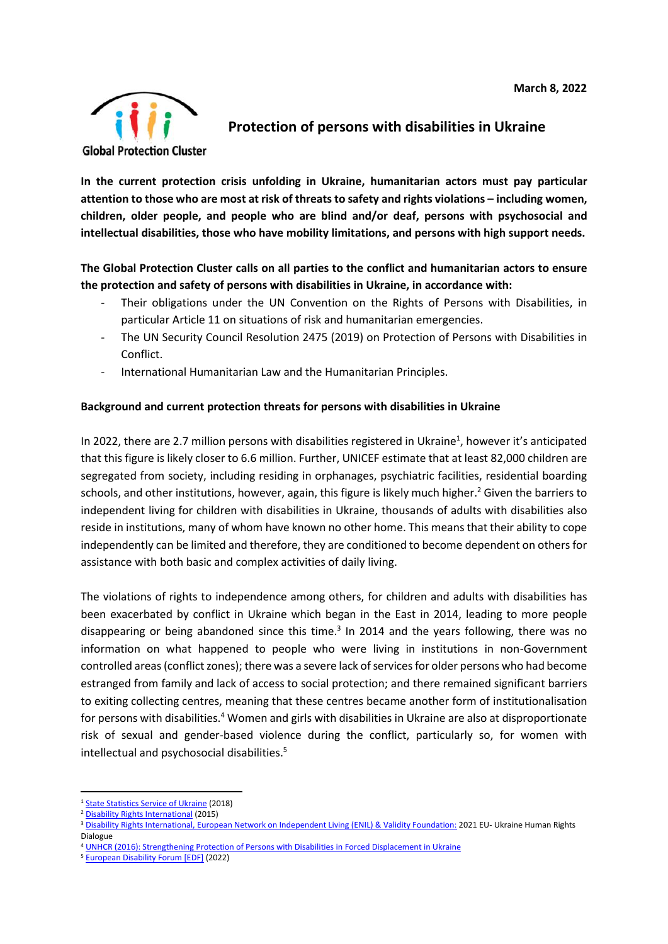

# **Protection of persons with disabilities in Ukraine**

**In the current protection crisis unfolding in Ukraine, humanitarian actors must pay particular** attention to those who are most at risk of threats to safety and rights violations - including women, **children, older people, and people who are blind and/or deaf, persons with psychosocial and intellectual disabilities, those who have mobility limitations, and persons with high support needs.**

## **The Global Protection Cluster calls on all parties to the conflict and humanitarian actors to ensure the protection and safety of persons with disabilities in Ukraine, in accordance with:**

- Their obligations under the UN Convention on the Rights of Persons with Disabilities, in particular Article 11 on situations of risk and humanitarian emergencies.
- The UN Security Council Resolution 2475 (2019) on Protection of Persons with Disabilities in Conflict.
- International Humanitarian Law and the Humanitarian Principles.

### **Background and current protection threats for persons with disabilities in Ukraine**

In 2022, there are 2.7 million persons with disabilities registered in Ukraine<sup>1</sup>, however it's anticipated that this figure is likely closer to 6.6 million. Further, UNICEF estimate that at least 82,000 children are segregated from society, including residing in orphanages, psychiatric facilities, residential boarding schools, and other institutions, however, again, this figure is likely much higher. <sup>2</sup> Given the barriers to independent living for children with disabilities in Ukraine, thousands of adults with disabilities also reside in institutions, many of whom have known no other home. This means that their ability to cope independently can be limited and therefore, they are conditioned to become dependent on others for assistance with both basic and complex activities of daily living.

The violations of rights to independence among others, for children and adults with disabilities has been exacerbated by conflict in Ukraine which began in the East in 2014, leading to more people disappearing or being abandoned since this time.<sup>3</sup> In 2014 and the years following, there was no information on what happened to people who were living in institutions in non-Government controlled areas (conflict zones); there was a severe lack of services for older persons who had become estranged from family and lack of access to social protection; and there remained significant barriers to exiting collecting centres, meaning that these centres became another form of institutionalisation for persons with disabilities.<sup>4</sup> Women and girls with disabilities in Ukraine are also at disproportionate risk of sexual and gender-based violence during the conflict, particularly so, for women with intellectual and psychosocial disabilities.<sup>5</sup>

<sup>&</sup>lt;sup>1</sup> [State Statistics Service of Ukraine](http://www.ukrstat.gov.ua/druk/publicat/kat_u/2019/zb/11/zb_yearbook_2018_e.pdf) (2018)

<sup>2</sup> [Disability Rights International](https://gdc.unicef.org/resource/no-way-home-exploitation-and-abuse-children-ukraines-orphanages) (2015)

<sup>&</sup>lt;sup>3</sup> [Disability Rights International, European Network on Independent Living \(ENIL\) & Validity Foundation:](https://www.driadvocacy.org/wp-content/uploads/2021-EU_Ukraine_HRD-by-disability-rights-organisations.pdf) 2021 EU- Ukraine Human Rights Dialogue

<sup>4</sup> [UNHCR \(2016\): Strengthening Protection of Persons with Disabilities in Forced Displacement in Ukraine](https://reliefweb.int/sites/reliefweb.int/files/resources/strenthening_protection_of_persons_with_disabilities_final.pdf)

<sup>5</sup> [European Disability Forum \[EDF\]](https://www.edf-feph.org/protection-and-safety-of-persons-with-disabilities-in-ukraine/) (2022)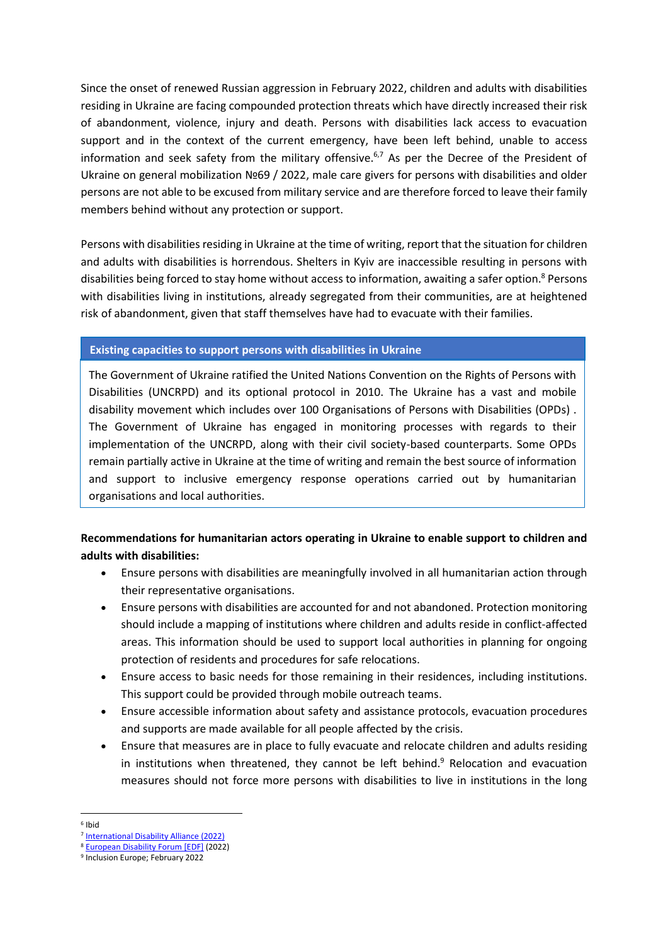Since the onset of renewed Russian aggression in February 2022, children and adults with disabilities residing in Ukraine are facing compounded protection threats which have directly increased their risk of abandonment, violence, injury and death. Persons with disabilities lack access to evacuation support and in the context of the current emergency, have been left behind, unable to access information and seek safety from the military offensive.<sup>6,7</sup> As per the Decree of the President of Ukraine on general mobilization №69 / 2022, male care givers for persons with disabilities and older persons are not able to be excused from military service and are therefore forced to leave their family members behind without any protection or support.

Persons with disabilities residing in Ukraine at the time of writing, report that the situation for children and adults with disabilities is horrendous. Shelters in Kyiv are inaccessible resulting in persons with disabilities being forced to stay home without access to information, awaiting a safer option.<sup>8</sup> Persons with disabilities living in institutions, already segregated from their communities, are at heightened risk of abandonment, given that staff themselves have had to evacuate with their families.

#### **Existing capacities to support persons with disabilities in Ukraine**

The Government of Ukraine ratified the United Nations Convention on the Rights of Persons with Disabilities (UNCRPD) and its optional protocol in 2010. The Ukraine has a vast and mobile disability movement which includes over 100 Organisations of Persons with Disabilities (OPDs) . The Government of Ukraine has engaged in monitoring processes with regards to their implementation of the UNCRPD, along with their civil society-based counterparts. Some OPDs remain partially active in Ukraine at the time of writing and remain the best source of information and support to inclusive emergency response operations carried out by humanitarian organisations and local authorities.

# **Recommendations for humanitarian actors operating in Ukraine to enable support to children and adults with disabilities:**

- Ensure persons with disabilities are meaningfully involved in all humanitarian action through their representative organisations.
- Ensure persons with disabilities are accounted for and not abandoned. Protection monitoring should include a mapping of institutions where children and adults reside in conflict-affected areas. This information should be used to support local authorities in planning for ongoing protection of residents and procedures for safe relocations.
- Ensure access to basic needs for those remaining in their residences, including institutions. This support could be provided through mobile outreach teams.
- Ensure accessible information about safety and assistance protocols, evacuation procedures and supports are made available for all people affected by the crisis.
- Ensure that measures are in place to fully evacuate and relocate children and adults residing in institutions when threatened, they cannot be left behind. $9$  Relocation and evacuation measures should not force more persons with disabilities to live in institutions in the long
- 6 Ibid

<sup>7</sup> [International Disability Alliance \(2022\)](https://www.internationaldisabilityalliance.org/content/through-conflict-ukraine-what-happens-persons-disabilities)

<sup>8</sup> [European Disability Forum \[EDF\]](https://www.edf-feph.org/protection-and-safety-of-persons-with-disabilities-in-ukraine/) (2022)

<sup>9</sup> Inclusion Europe; February 2022